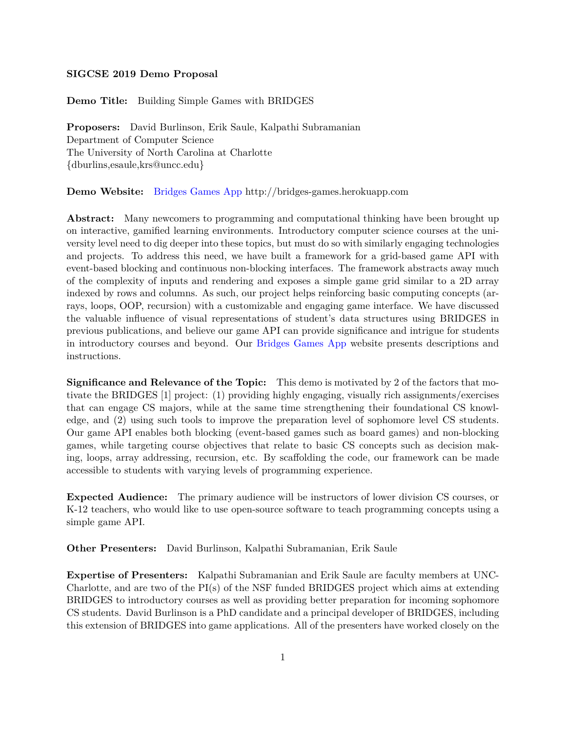## **SIGCSE 2019 Demo Proposal**

**Demo Title:** Building Simple Games with BRIDGES

**Proposers:** David Burlinson, Erik Saule, Kalpathi Subramanian Department of Computer Science The University of North Carolina at Charlotte {dburlins,esaule,krs@uncc.edu}

## **Demo Website:** Bridges Games App http://bridges-games.herokuapp.com

**Abstract:** Many newcomers to programming and computational thinking have been brought up on interactive, gamified learning environments. Introductory computer science courses at the university level need to dig deeper into these topics, but must do so with similarly engaging technologies and projects. To address this need, we have built a framework for a grid-based game API with event-based blocking and continuous non-blocking interfaces. The framework abstracts away much of the complexity of inputs and rendering and exposes a simple game grid similar to a 2D array indexed by rows and columns. As such, our project helps reinforcing basic computing concepts (arrays, loops, OOP, recursion) with a customizable and engaging game interface. We have discussed the valuable influence of visual representations of student's data structures using BRIDGES in previous publications, and believe our game API can provide significance and intrigue for students in introductory courses and beyond. Our Bridges Games App website presents descriptions and instructions.

**Significance and Relevance of the Topic:** This demo is motivated by 2 of the factors that motivate the BRIDGES [1] project: (1) providing highly engaging, visually rich assignments/exercises that can engage CS majors, while at the same time strengthening their foundational CS knowledge, and (2) using such tools to improve the preparation level of sophomore level CS students. Our game API enables both blocking (event-based games such as board games) and non-blocking games, while targeting course objectives that relate to basic CS concepts such as decision making, loops, array addressing, recursion, etc. By scaffolding the code, our framework can be made accessible to students with varying levels of programming experience.

**Expected Audience:** The primary audience will be instructors of lower division CS courses, or K-12 teachers, who would like to use open-source software to teach programming concepts using a simple game API.

**Other Presenters:** David Burlinson, Kalpathi Subramanian, Erik Saule

**Expertise of Presenters:** Kalpathi Subramanian and Erik Saule are faculty members at UNC-Charlotte, and are two of the PI(s) of the NSF funded BRIDGES project which aims at extending BRIDGES to introductory courses as well as providing better preparation for incoming sophomore CS students. David Burlinson is a PhD candidate and a principal developer of BRIDGES, including this extension of BRIDGES into game applications. All of the presenters have worked closely on the